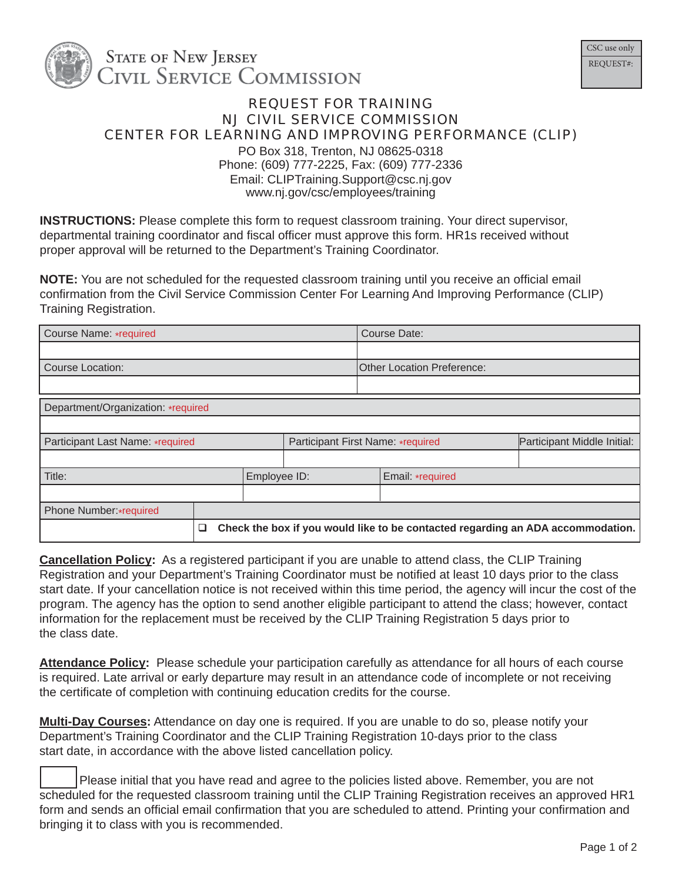

## REQUEST FOR TRAINING NJ CIVIL SERVICE COMMISSION CENTER FOR LEARNING AND IMPROVING PERFORMANCE (CLIP)

PO Box 318, Trenton, NJ 08625-0318 Phone: (609) 777-2225, Fax: (609) 777-2336 Email: CLIPTraining.Support@csc.nj.gov www.nj.gov/csc/employees/training

**INSTRUCTIONS:** Please complete this form to request classroom training. Your direct supervisor, departmental training coordinator and fiscal officer must approve this form. HR1s received without proper approval will be returned to the Department's Training Coordinator.

**NOTE:** You are not scheduled for the requested classroom training until you receive an official email confirmation from the Civil Service Commission Center For Learning And Improving Performance (CLIP) Training Registration.

| Course Name: *required             |   |              |                                   |                                   | Course Date:                                                                    |                             |  |  |
|------------------------------------|---|--------------|-----------------------------------|-----------------------------------|---------------------------------------------------------------------------------|-----------------------------|--|--|
|                                    |   |              |                                   |                                   |                                                                                 |                             |  |  |
| <b>Course Location:</b>            |   |              |                                   | <b>Other Location Preference:</b> |                                                                                 |                             |  |  |
|                                    |   |              |                                   |                                   |                                                                                 |                             |  |  |
| Department/Organization: *required |   |              |                                   |                                   |                                                                                 |                             |  |  |
|                                    |   |              |                                   |                                   |                                                                                 |                             |  |  |
| Participant Last Name: *required   |   |              | Participant First Name: *required |                                   |                                                                                 | Participant Middle Initial: |  |  |
|                                    |   |              |                                   |                                   |                                                                                 |                             |  |  |
| Title:                             |   | Employee ID: |                                   |                                   | Email: *required                                                                |                             |  |  |
|                                    |   |              |                                   |                                   |                                                                                 |                             |  |  |
| Phone Number:*required             |   |              |                                   |                                   |                                                                                 |                             |  |  |
|                                    | ❏ |              |                                   |                                   | Check the box if you would like to be contacted regarding an ADA accommodation. |                             |  |  |

**Cancellation Policy:** As a registered participant if you are unable to attend class, the CLIP Training Registration and your Department's Training Coordinator must be notified at least 10 days prior to the class start date. If your cancellation notice is not received within this time period, the agency will incur the cost of the program. The agency has the option to send another eligible participant to attend the class; however, contact information for the replacement must be received by the CLIP Training Registration 5 days prior to the class date.

**Attendance Policy:** Please schedule your participation carefully as attendance for all hours of each course is required. Late arrival or early departure may result in an attendance code of incomplete or not receiving the certificate of completion with continuing education credits for the course.

**Multi-Day Courses:** Attendance on day one is required. If you are unable to do so, please notify your Department's Training Coordinator and the CLIP Training Registration 10-days prior to the class start date, in accordance with the above listed cancellation policy.

 Please initial that you have read and agree to the policies listed above. Remember, you are not scheduled for the requested classroom training until the CLIP Training Registration receives an approved HR1 form and sends an official email confirmation that you are scheduled to attend. Printing your confirmation and bringing it to class with you is recommended.